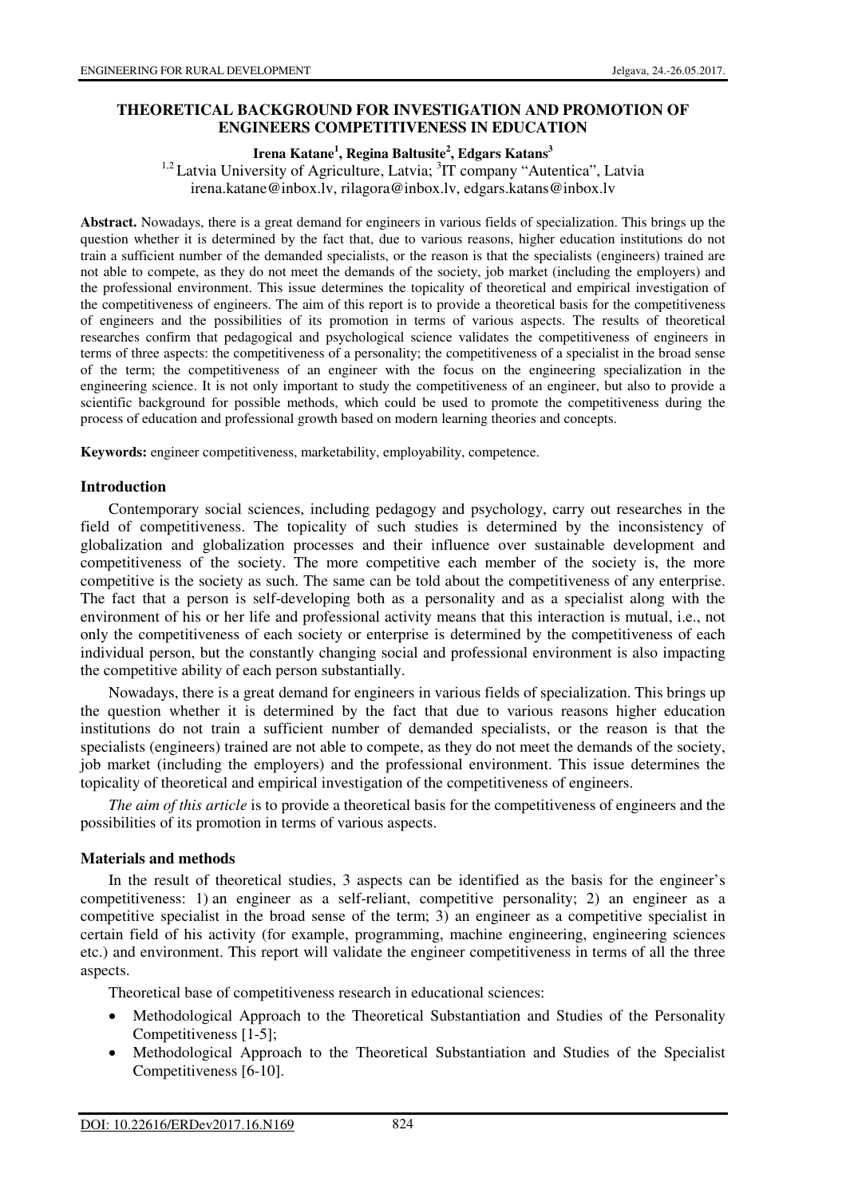## **THEORETICAL BACKGROUND FOR INVESTIGATION AND PROMOTION OF ENGINEERS COMPETITIVENESS IN EDUCATION**

### **Irena Katane<sup>1</sup> , Regina Baltusite<sup>2</sup> , Edgars Katans<sup>3</sup>**

<sup>1,2</sup> Latvia University of Agriculture, Latvia; <sup>3</sup>IT company "Autentica", Latvia irena.katane@inbox.lv, rilagora@inbox.lv, edgars.katans@inbox.lv

**Abstract.** Nowadays, there is a great demand for engineers in various fields of specialization. This brings up the question whether it is determined by the fact that, due to various reasons, higher education institutions do not train a sufficient number of the demanded specialists, or the reason is that the specialists (engineers) trained are not able to compete, as they do not meet the demands of the society, job market (including the employers) and the professional environment. This issue determines the topicality of theoretical and empirical investigation of the competitiveness of engineers. The aim of this report is to provide a theoretical basis for the competitiveness of engineers and the possibilities of its promotion in terms of various aspects. The results of theoretical researches confirm that pedagogical and psychological science validates the competitiveness of engineers in terms of three aspects: the competitiveness of a personality; the competitiveness of a specialist in the broad sense of the term; the competitiveness of an engineer with the focus on the engineering specialization in the engineering science. It is not only important to study the competitiveness of an engineer, but also to provide a scientific background for possible methods, which could be used to promote the competitiveness during the process of education and professional growth based on modern learning theories and concepts.

**Keywords:** engineer competitiveness, marketability, employability, competence.

#### **Introduction**

Contemporary social sciences, including pedagogy and psychology, carry out researches in the field of competitiveness. The topicality of such studies is determined by the inconsistency of globalization and globalization processes and their influence over sustainable development and competitiveness of the society. The more competitive each member of the society is, the more competitive is the society as such. The same can be told about the competitiveness of any enterprise. The fact that a person is self-developing both as a personality and as a specialist along with the environment of his or her life and professional activity means that this interaction is mutual, i.e., not only the competitiveness of each society or enterprise is determined by the competitiveness of each individual person, but the constantly changing social and professional environment is also impacting the competitive ability of each person substantially.

Nowadays, there is a great demand for engineers in various fields of specialization. This brings up the question whether it is determined by the fact that due to various reasons higher education institutions do not train a sufficient number of demanded specialists, or the reason is that the specialists (engineers) trained are not able to compete, as they do not meet the demands of the society, job market (including the employers) and the professional environment. This issue determines the topicality of theoretical and empirical investigation of the competitiveness of engineers.

*The aim of this article* is to provide a theoretical basis for the competitiveness of engineers and the possibilities of its promotion in terms of various aspects.

#### **Materials and methods**

In the result of theoretical studies, 3 aspects can be identified as the basis for the engineer's competitiveness: 1) an engineer as a self-reliant, competitive personality; 2) an engineer as a competitive specialist in the broad sense of the term; 3) an engineer as a competitive specialist in certain field of his activity (for example, programming, machine engineering, engineering sciences etc.) and environment. This report will validate the engineer competitiveness in terms of all the three aspects.

Theoretical base of competitiveness research in educational sciences:

- Methodological Approach to the Theoretical Substantiation and Studies of the Personality Competitiveness [1-5];
- Methodological Approach to the Theoretical Substantiation and Studies of the Specialist Competitiveness [6-10].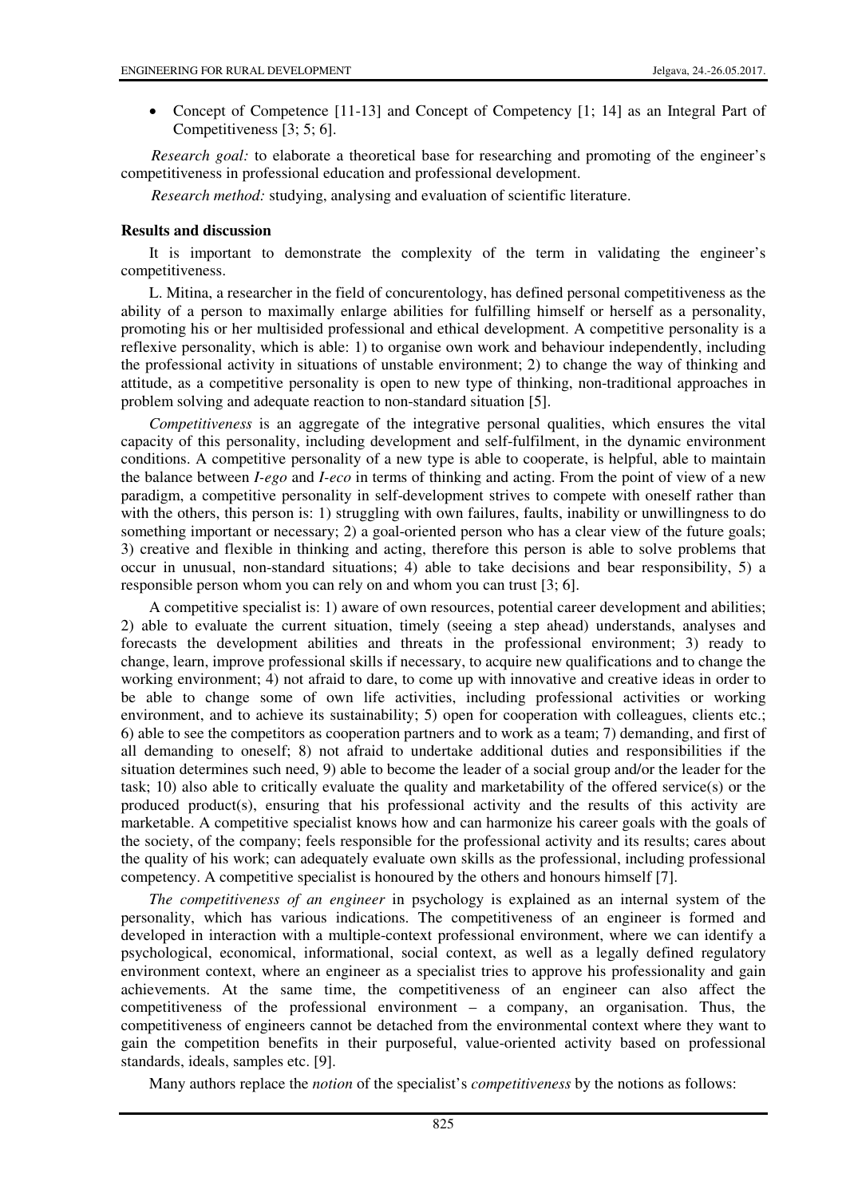• Concept of Competence [11-13] and Concept of Competency [1; 14] as an Integral Part of Competitiveness [3; 5; 6].

*Research goal:* to elaborate a theoretical base for researching and promoting of the engineer's competitiveness in professional education and professional development.

*Research method:* studying, analysing and evaluation of scientific literature.

### **Results and discussion**

It is important to demonstrate the complexity of the term in validating the engineer's competitiveness.

L. Mitina, a researcher in the field of concurentology, has defined personal competitiveness as the ability of a person to maximally enlarge abilities for fulfilling himself or herself as a personality, promoting his or her multisided professional and ethical development. A competitive personality is a reflexive personality, which is able: 1) to organise own work and behaviour independently, including the professional activity in situations of unstable environment; 2) to change the way of thinking and attitude, as a competitive personality is open to new type of thinking, non-traditional approaches in problem solving and adequate reaction to non-standard situation [5].

*Competitiveness* is an aggregate of the integrative personal qualities, which ensures the vital capacity of this personality, including development and self-fulfilment, in the dynamic environment conditions. A competitive personality of a new type is able to cooperate, is helpful, able to maintain the balance between *I-ego* and *I-eco* in terms of thinking and acting. From the point of view of a new paradigm, a competitive personality in self-development strives to compete with oneself rather than with the others, this person is: 1) struggling with own failures, faults, inability or unwillingness to do something important or necessary; 2) a goal-oriented person who has a clear view of the future goals; 3) creative and flexible in thinking and acting, therefore this person is able to solve problems that occur in unusual, non-standard situations; 4) able to take decisions and bear responsibility, 5) a responsible person whom you can rely on and whom you can trust [3; 6].

A competitive specialist is: 1) aware of own resources, potential career development and abilities; 2) able to evaluate the current situation, timely (seeing a step ahead) understands, analyses and forecasts the development abilities and threats in the professional environment; 3) ready to change, learn, improve professional skills if necessary, to acquire new qualifications and to change the working environment; 4) not afraid to dare, to come up with innovative and creative ideas in order to be able to change some of own life activities, including professional activities or working environment, and to achieve its sustainability; 5) open for cooperation with colleagues, clients etc.; 6) able to see the competitors as cooperation partners and to work as a team; 7) demanding, and first of all demanding to oneself; 8) not afraid to undertake additional duties and responsibilities if the situation determines such need, 9) able to become the leader of a social group and/or the leader for the task; 10) also able to critically evaluate the quality and marketability of the offered service(s) or the produced product(s), ensuring that his professional activity and the results of this activity are marketable. A competitive specialist knows how and can harmonize his career goals with the goals of the society, of the company; feels responsible for the professional activity and its results; cares about the quality of his work; can adequately evaluate own skills as the professional, including professional competency. A competitive specialist is honoured by the others and honours himself [7].

*The competitiveness of an engineer* in psychology is explained as an internal system of the personality, which has various indications. The competitiveness of an engineer is formed and developed in interaction with a multiple-context professional environment, where we can identify a psychological, economical, informational, social context, as well as a legally defined regulatory environment context, where an engineer as a specialist tries to approve his professionality and gain achievements. At the same time, the competitiveness of an engineer can also affect the competitiveness of the professional environment – a company, an organisation. Thus, the competitiveness of engineers cannot be detached from the environmental context where they want to gain the competition benefits in their purposeful, value-oriented activity based on professional standards, ideals, samples etc. [9].

Many authors replace the *notion* of the specialist's *competitiveness* by the notions as follows: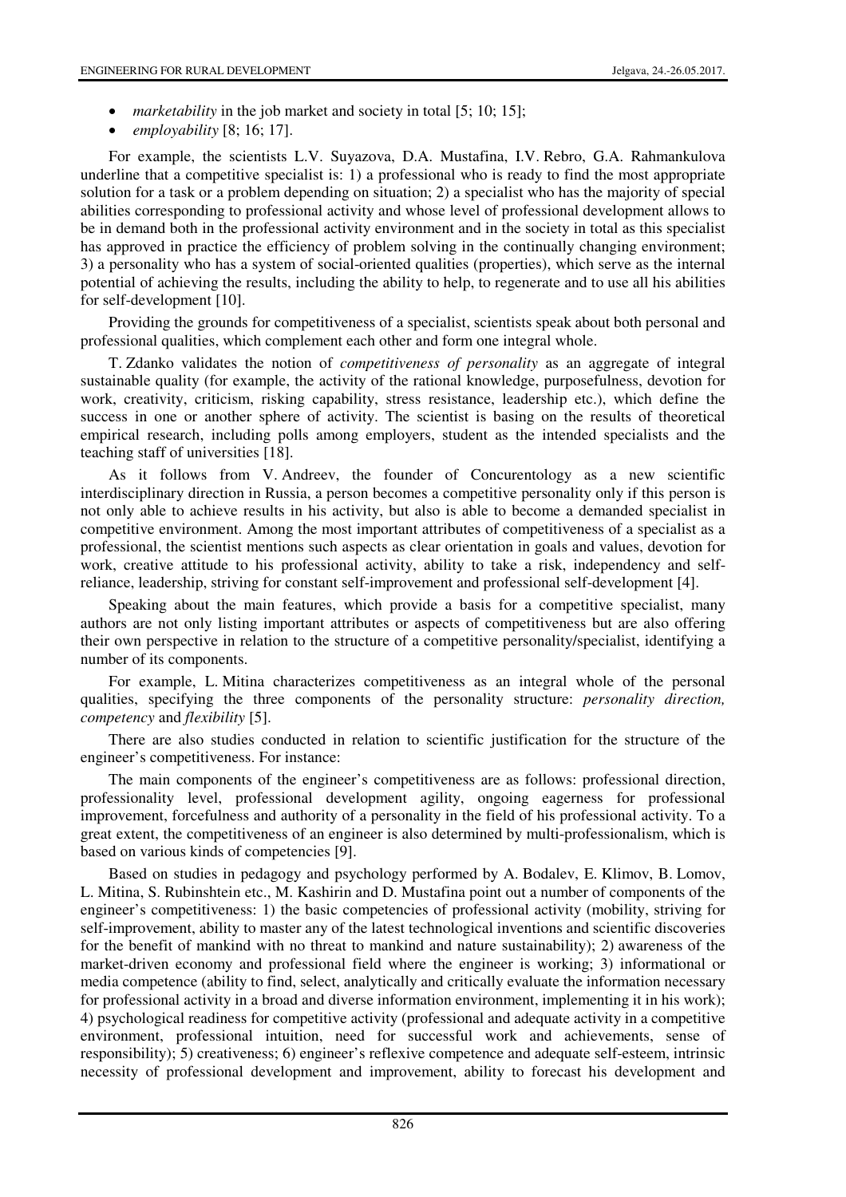- *marketability* in the job market and society in total [5; 10; 15];
- *employability* [8; 16; 17].

For example, the scientists L.V. Suyazova, D.A. Mustafina, I.V. Rebro, G.A. Rahmankulova underline that a competitive specialist is: 1) a professional who is ready to find the most appropriate solution for a task or a problem depending on situation; 2) a specialist who has the majority of special abilities corresponding to professional activity and whose level of professional development allows to be in demand both in the professional activity environment and in the society in total as this specialist has approved in practice the efficiency of problem solving in the continually changing environment; 3) a personality who has a system of social-oriented qualities (properties), which serve as the internal potential of achieving the results, including the ability to help, to regenerate and to use all his abilities for self-development [10].

Providing the grounds for competitiveness of a specialist, scientists speak about both personal and professional qualities, which complement each other and form one integral whole.

T. Zdanko validates the notion of *competitiveness of personality* as an aggregate of integral sustainable quality (for example, the activity of the rational knowledge, purposefulness, devotion for work, creativity, criticism, risking capability, stress resistance, leadership etc.), which define the success in one or another sphere of activity. The scientist is basing on the results of theoretical empirical research, including polls among employers, student as the intended specialists and the teaching staff of universities [18].

As it follows from V. Andreev, the founder of Concurentology as a new scientific interdisciplinary direction in Russia, a person becomes a competitive personality only if this person is not only able to achieve results in his activity, but also is able to become a demanded specialist in competitive environment. Among the most important attributes of competitiveness of a specialist as a professional, the scientist mentions such aspects as clear orientation in goals and values, devotion for work, creative attitude to his professional activity, ability to take a risk, independency and selfreliance, leadership, striving for constant self-improvement and professional self-development [4].

Speaking about the main features, which provide a basis for a competitive specialist, many authors are not only listing important attributes or aspects of competitiveness but are also offering their own perspective in relation to the structure of a competitive personality/specialist, identifying a number of its components.

For example, L. Mitina characterizes competitiveness as an integral whole of the personal qualities, specifying the three components of the personality structure: *personality direction, competency* and *flexibility* [5].

There are also studies conducted in relation to scientific justification for the structure of the engineer's competitiveness. For instance:

The main components of the engineer's competitiveness are as follows: professional direction, professionality level, professional development agility, ongoing eagerness for professional improvement, forcefulness and authority of a personality in the field of his professional activity. To a great extent, the competitiveness of an engineer is also determined by multi-professionalism, which is based on various kinds of competencies [9].

Based on studies in pedagogy and psychology performed by A. Bodalev, E. Klimov, B. Lomov, L. Mitina, S. Rubinshtein etc., M. Kashirin and D. Mustafina point out a number of components of the engineer's competitiveness: 1) the basic competencies of professional activity (mobility, striving for self-improvement, ability to master any of the latest technological inventions and scientific discoveries for the benefit of mankind with no threat to mankind and nature sustainability); 2) awareness of the market-driven economy and professional field where the engineer is working; 3) informational or media competence (ability to find, select, analytically and critically evaluate the information necessary for professional activity in a broad and diverse information environment, implementing it in his work); 4) psychological readiness for competitive activity (professional and adequate activity in a competitive environment, professional intuition, need for successful work and achievements, sense of responsibility); 5) creativeness; 6) engineer's reflexive competence and adequate self-esteem, intrinsic necessity of professional development and improvement, ability to forecast his development and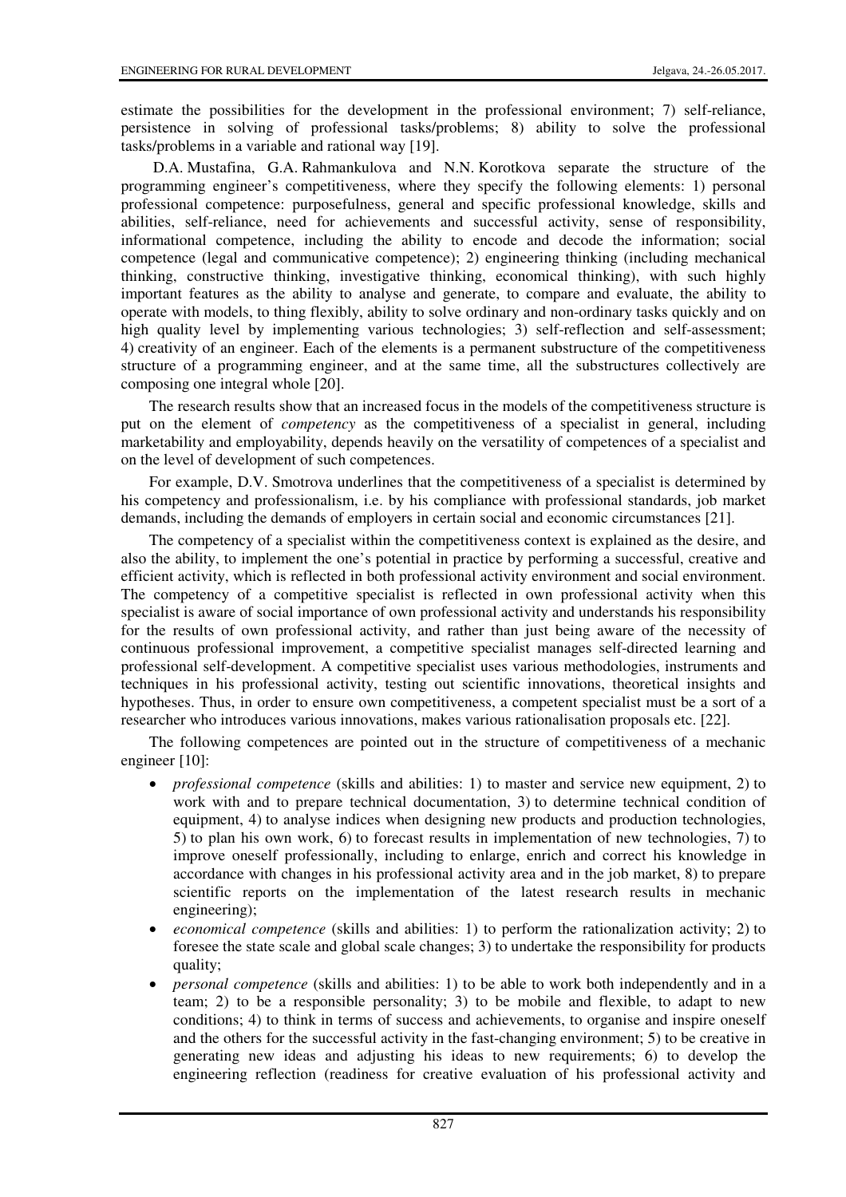estimate the possibilities for the development in the professional environment; 7) self-reliance, persistence in solving of professional tasks/problems; 8) ability to solve the professional tasks/problems in a variable and rational way [19].

 D.A. Mustafina, G.A. Rahmankulova and N.N. Korotkova separate the structure of the programming engineer's competitiveness, where they specify the following elements: 1) personal professional competence: purposefulness, general and specific professional knowledge, skills and abilities, self-reliance, need for achievements and successful activity, sense of responsibility, informational competence, including the ability to encode and decode the information; social competence (legal and communicative competence); 2) engineering thinking (including mechanical thinking, constructive thinking, investigative thinking, economical thinking), with such highly important features as the ability to analyse and generate, to compare and evaluate, the ability to operate with models, to thing flexibly, ability to solve ordinary and non-ordinary tasks quickly and on high quality level by implementing various technologies; 3) self-reflection and self-assessment; 4) creativity of an engineer. Each of the elements is a permanent substructure of the competitiveness structure of a programming engineer, and at the same time, all the substructures collectively are composing one integral whole [20].

The research results show that an increased focus in the models of the competitiveness structure is put on the element of *competency* as the competitiveness of a specialist in general, including marketability and employability, depends heavily on the versatility of competences of a specialist and on the level of development of such competences.

For example, D.V. Smotrova underlines that the competitiveness of a specialist is determined by his competency and professionalism, i.e. by his compliance with professional standards, job market demands, including the demands of employers in certain social and economic circumstances [21].

The competency of a specialist within the competitiveness context is explained as the desire, and also the ability, to implement the one's potential in practice by performing a successful, creative and efficient activity, which is reflected in both professional activity environment and social environment. The competency of a competitive specialist is reflected in own professional activity when this specialist is aware of social importance of own professional activity and understands his responsibility for the results of own professional activity, and rather than just being aware of the necessity of continuous professional improvement, a competitive specialist manages self-directed learning and professional self-development. A competitive specialist uses various methodologies, instruments and techniques in his professional activity, testing out scientific innovations, theoretical insights and hypotheses. Thus, in order to ensure own competitiveness, a competent specialist must be a sort of a researcher who introduces various innovations, makes various rationalisation proposals etc. [22].

The following competences are pointed out in the structure of competitiveness of a mechanic engineer [10]:

- *professional competence* (skills and abilities: 1) to master and service new equipment, 2) to work with and to prepare technical documentation, 3) to determine technical condition of equipment, 4) to analyse indices when designing new products and production technologies, 5) to plan his own work, 6) to forecast results in implementation of new technologies, 7) to improve oneself professionally, including to enlarge, enrich and correct his knowledge in accordance with changes in his professional activity area and in the job market, 8) to prepare scientific reports on the implementation of the latest research results in mechanic engineering);
- *economical competence* (skills and abilities: 1) to perform the rationalization activity; 2) to foresee the state scale and global scale changes; 3) to undertake the responsibility for products quality;
- *personal competence* (skills and abilities: 1) to be able to work both independently and in a team; 2) to be a responsible personality; 3) to be mobile and flexible, to adapt to new conditions; 4) to think in terms of success and achievements, to organise and inspire oneself and the others for the successful activity in the fast-changing environment; 5) to be creative in generating new ideas and adjusting his ideas to new requirements; 6) to develop the engineering reflection (readiness for creative evaluation of his professional activity and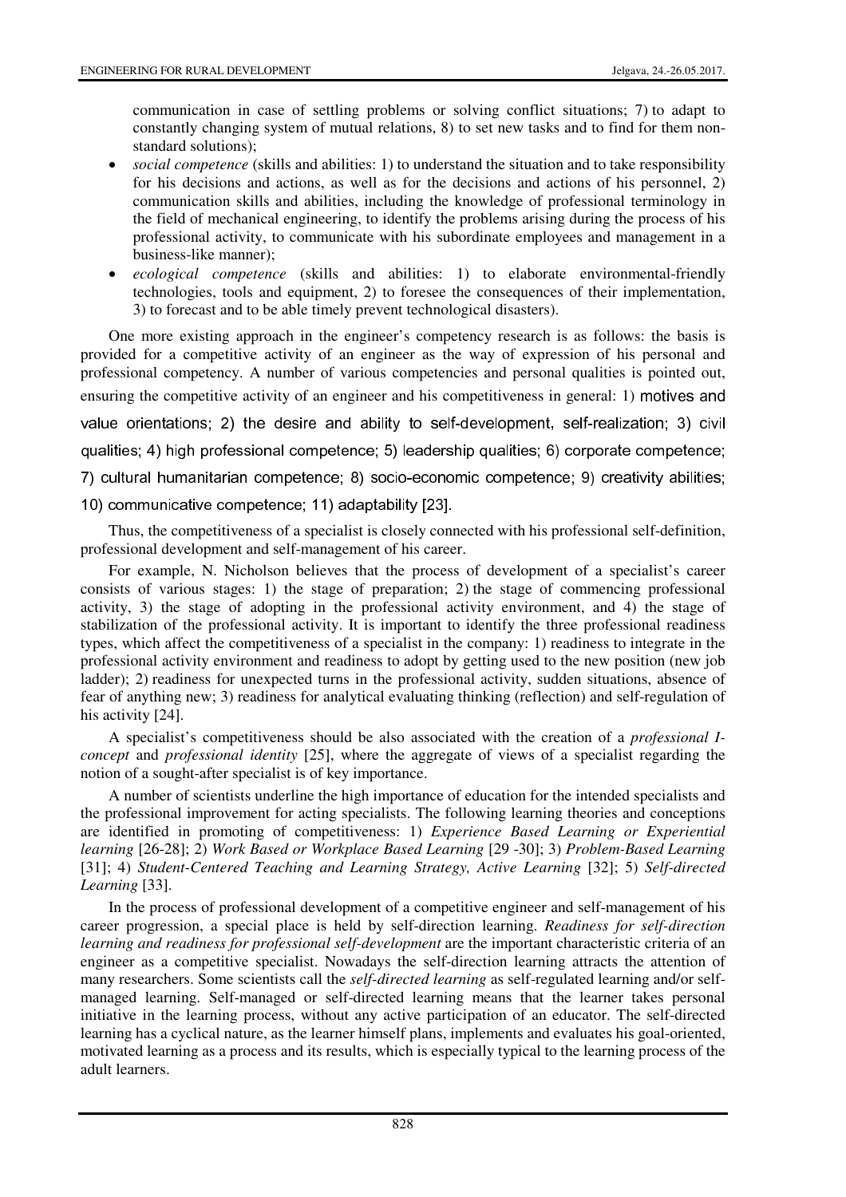communication in case of settling problems or solving conflict situations; 7) to adapt to constantly changing system of mutual relations, 8) to set new tasks and to find for them nonstandard solutions);

- *social competence* (skills and abilities: 1) to understand the situation and to take responsibility for his decisions and actions, as well as for the decisions and actions of his personnel, 2) communication skills and abilities, including the knowledge of professional terminology in the field of mechanical engineering, to identify the problems arising during the process of his professional activity, to communicate with his subordinate employees and management in a business-like manner);
- *ecological competence* (skills and abilities: 1) to elaborate environmental-friendly technologies, tools and equipment, 2) to foresee the consequences of their implementation, 3) to forecast and to be able timely prevent technological disasters).

One more existing approach in the engineer's competency research is as follows: the basis is provided for a competitive activity of an engineer as the way of expression of his personal and professional competency. A number of various competencies and personal qualities is pointed out, ensuring the competitive activity of an engineer and his competitiveness in general: 1) motives and value orientations; 2) the desire and ability to self-development, self-realization; 3) civil qualities; 4) high professional competence; 5) leadership qualities; 6) corporate competence; 7) cultural humanitarian competence; 8) socio-economic competence; 9) creativity abilities; 10) communicative competence; 11) adaptability [23].

Thus, the competitiveness of a specialist is closely connected with his professional self-definition, professional development and self-management of his career.

For example, N. Nicholson believes that the process of development of a specialist's career consists of various stages: 1) the stage of preparation; 2) the stage of commencing professional activity, 3) the stage of adopting in the professional activity environment, and 4) the stage of stabilization of the professional activity. It is important to identify the three professional readiness types, which affect the competitiveness of a specialist in the company: 1) readiness to integrate in the professional activity environment and readiness to adopt by getting used to the new position (new job ladder); 2) readiness for unexpected turns in the professional activity, sudden situations, absence of fear of anything new; 3) readiness for analytical evaluating thinking (reflection) and self-regulation of his activity [24].

A specialist's competitiveness should be also associated with the creation of a *professional Iconcept* and *professional identity* [25], where the aggregate of views of a specialist regarding the notion of a sought-after specialist is of key importance.

A number of scientists underline the high importance of education for the intended specialists and the professional improvement for acting specialists. The following learning theories and conceptions are identified in promoting of competitiveness: 1) *Experience Based Learning or E*x*periential learning* [26-28]; 2) *Work Based or Workplace Based Learning* [29 -30]; 3) *Problem-Based Learning* [31]; 4) *Student-Centered Teaching and Learning Strategy, Active Learning* [32]; 5) *Self-directed Learning* [33].

In the process of professional development of a competitive engineer and self-management of his career progression, a special place is held by self-direction learning. *Readiness for self-direction learning and readiness for professional self-development* are the important characteristic criteria of an engineer as a competitive specialist. Nowadays the self-direction learning attracts the attention of many researchers. Some scientists call the *self-directed learning* as self-regulated learning and/or selfmanaged learning. Self-managed or self-directed learning means that the learner takes personal initiative in the learning process, without any active participation of an educator. The self-directed learning has a cyclical nature, as the learner himself plans, implements and evaluates his goal-oriented, motivated learning as a process and its results, which is especially typical to the learning process of the adult learners.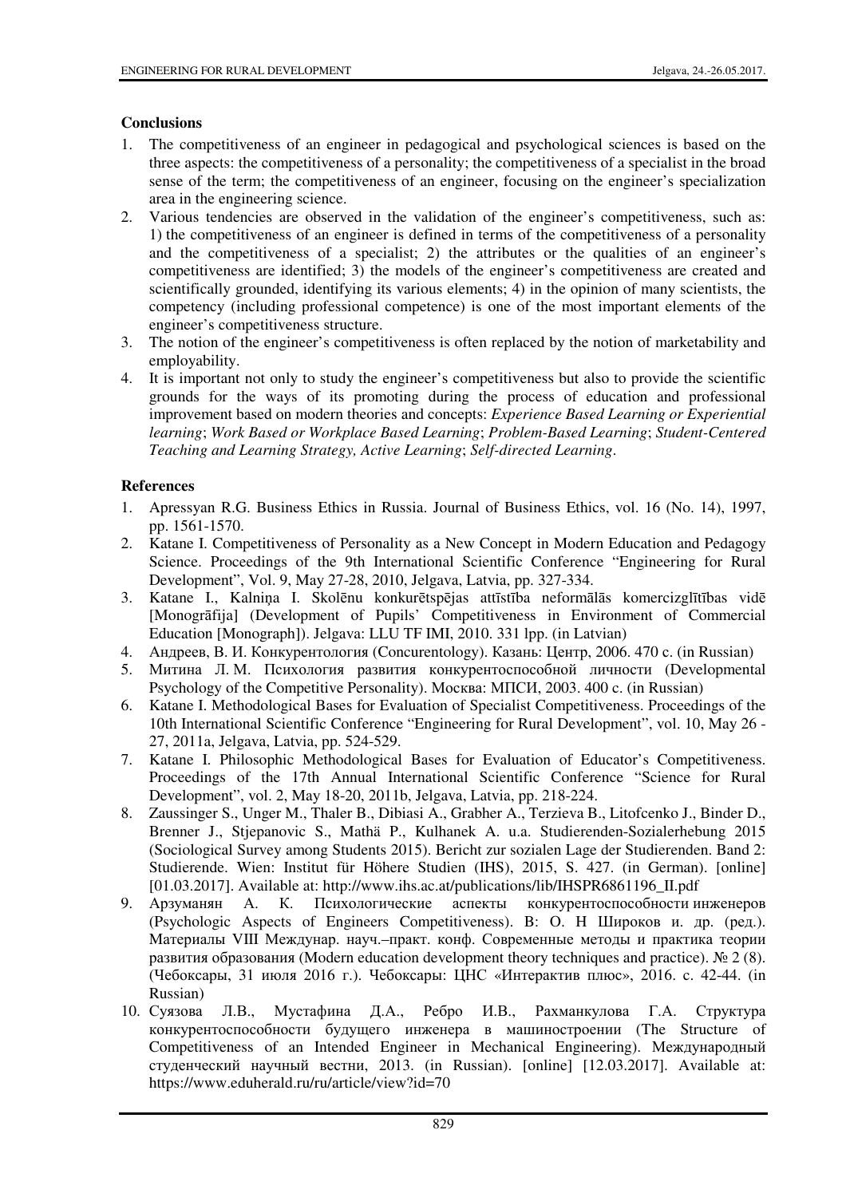# **Conclusions**

- The competitiveness of an engineer in pedagogical and psychological sciences is based on the  $\mathbf{1}$ three aspects: the competitiveness of a personality; the competitiveness of a specialist in the broad sense of the term; the competitiveness of an engineer, focusing on the engineer's specialization area in the engineering science.
- 2. Various tendencies are observed in the validation of the engineer's competitiveness, such as: 1) the competitiveness of an engineer is defined in terms of the competitiveness of a personality and the competitiveness of a specialist; 2) the attributes or the qualities of an engineer's competitiveness are identified; 3) the models of the engineer's competitiveness are created and scientifically grounded, identifying its various elements; 4) in the opinion of many scientists, the competency (including professional competence) is one of the most important elements of the engineer's competitiveness structure.
- The notion of the engineer's competitiveness is often replaced by the notion of marketability and  $3.$ employability.
- 4. It is important not only to study the engineer's competitiveness but also to provide the scientific grounds for the ways of its promoting during the process of education and professional improvement based on modern theories and concepts: *Experience Based Learning or Experiential* learning; Work Based or Workplace Based Learning; Problem-Based Learning; Student-Centered Teaching and Learning Strategy, Active Learning; Self-directed Learning,

# **References**

- Apressvan R.G. Business Ethics in Russia. Journal of Business Ethics, vol. 16 (No. 14), 1997.  $\mathbf{1}$ pp. 1561-1570.
- 2. Katane I. Competitiveness of Personality as a New Concept in Modern Education and Pedagogy Science. Proceedings of the 9th International Scientific Conference "Engineering for Rural" Development", Vol. 9, May 27-28, 2010, Jelgava, Latvia, pp. 327-334.
- 3. Katane I., Kalniņa I. Skolēnu konkurētspējas attīstība neformālās komercizglītības vidē [Monogrāfija] (Development of Pupils' Competitiveness in Environment of Commercial Education [Monograph]). Jelgava: LLU TF IMI, 2010, 331 lpp. (in Latvian)
- 4. Андреев, В. И. Конкурентология (Concurentology). Казань: Центр, 2006. 470 с. (in Russian)
- 5. Митина Л. М. Психология развития конкурентоспособной личности (Developmental Psychology of the Competitive Personality). Mockba: MIICH, 2003. 400 c. (in Russian)
- 6. Katane I. Methodological Bases for Evaluation of Specialist Competitiveness. Proceedings of the 10th International Scientific Conference "Engineering for Rural Development", vol. 10, May 26 -27, 2011a, Jelgava, Latvia, pp. 524-529.
- 7. Katane I. Philosophic Methodological Bases for Evaluation of Educator's Competitiveness. Proceedings of the 17th Annual International Scientific Conference "Science for Rural" Development", vol. 2, May 18-20, 2011b, Jelgava, Latvia, pp. 218-224.
- Zaussinger S., Unger M., Thaler B., Dibiasi A., Grabher A., Terzieva B., Litofcenko J., Binder D., 8. Brenner J., Stjepanovic S., Mathä P., Kulhanek A. u.a. Studierenden-Sozialerhebung 2015 (Sociological Survey among Students 2015). Bericht zur sozialen Lage der Studierenden. Band 2: Studierende. Wien: Institut für Höhere Studien (IHS), 2015, S. 427. (in German). [online] [01.03.2017]. Available at: http://www.ihs.ac.at/publications/lib/IHSPR6861196 II.pdf
- 9. Арзуманян А. К. Психологические аспекты конкурентоспособности инженеров (Psychologic Aspects of Engineers Competitiveness). В: О. Н Широков и. др. (ред.). Материалы VIII Междунар. науч.-практ. конф. Современные методы и практика теории развития образования (Modern education development theory techniques and practice).  $\mathcal{N} \subseteq 2$  (8). (Чебоксары, 31 июля 2016 г.). Чебоксары: ЦНС «Интерактив плюс», 2016. с. 42-44. (in Russian)
- 10. Суязова Л.В., Мустафина Д.А., Ребро И.В., Рахманкулова Г.А. Структура конкурентоспособности будущего инженера в машиностроении (The Structure of Competitiveness of an Intended Engineer in Mechanical Engineering). Международный студенческий научный вестни, 2013. (in Russian). [online] [12.03.2017]. Available at: https://www.eduherald.ru/ru/article/view?id=70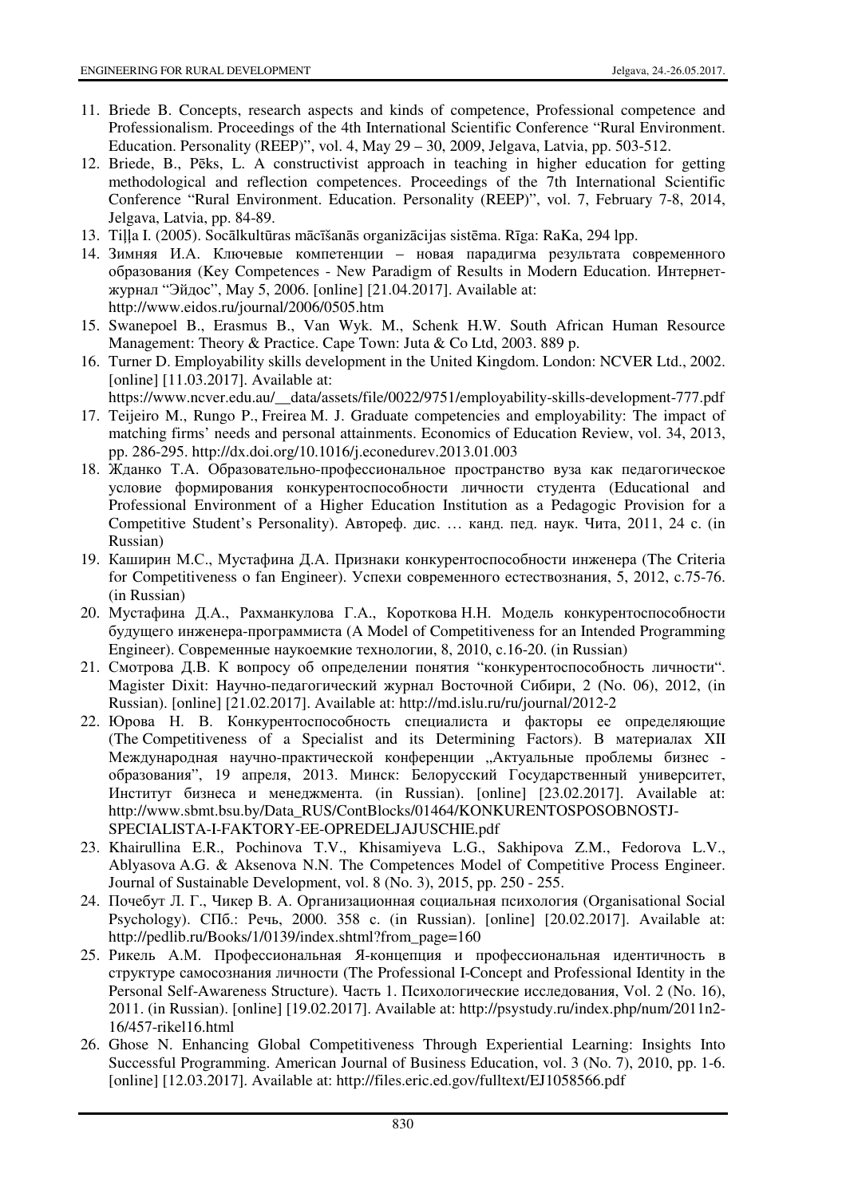- 11. Briede B. Concepts, research aspects and kinds of competence, Professional competence and Professionalism. Proceedings of the 4th International Scientific Conference "Rural Environment. Education. Personality (REEP)", vol. 4, May 29 - 30, 2009, Jelgava, Latvia, pp. 503-512.
- 12. Briede, B., Pēks, L. A constructivist approach in teaching in higher education for getting methodological and reflection competences. Proceedings of the 7th International Scientific Conference "Rural Environment. Education. Personality (REEP)", vol. 7, February 7-8, 2014, Jelgava, Latvia, pp. 84-89.
- 13. Tilla I. (2005). Socālkultūras mācīšanās organizācijas sistēma. Rīga: RaKa, 294 lpp.
- 14. Зимняя И.А. Ключевые компетенции новая парадигма результата современного образования (Key Competences - New Paradigm of Results in Modern Education. Интернетжурнал "Эйдос", May 5, 2006. [online] [21.04.2017]. Available at: http://www.eidos.ru/journal/2006/0505.htm
- 15. Swanepoel B., Erasmus B., Van Wyk. M., Schenk H.W. South African Human Resource Management: Theory & Practice. Cape Town: Juta & Co Ltd, 2003. 889 p.
- 16. Turner D. Employability skills development in the United Kingdom. London: NCVER Ltd., 2002. [online]  $[11.03.2017]$ . Available at:
	- https://www.ncver.edu.au/ data/assets/file/0022/9751/employability-skills-development-777.pdf
- 17. Teijeiro M., Rungo P., Freirea M. J. Graduate competencies and employability: The impact of matching firms' needs and personal attainments. Economics of Education Review, vol. 34, 2013, pp. 286-295. http://dx.doi.org/10.1016/j.econedurev.2013.01.003
- 18. Жданко Т.А. Образовательно-профессиональное пространство вуза как педагогическое условие формирования конкурентоспособности личности студента (Educational and Professional Environment of a Higher Education Institution as a Pedagogic Provision for a Competitive Student's Personality). Автореф. дис. ... канд. пед. наук. Чита, 2011, 24 с. (in Russian)
- 19. Каширин М.С., Мустафина Д.А. Признаки конкурентоспособности инженера (The Criteria for Competitiveness o fan Engineer). Успехи современного естествознания, 5, 2012, с.75-76.  $(in Russian)$
- 20. Мустафина Д.А., Рахманкулова Г.А., Короткова Н.Н. Модель конкурентоспособности будущего инженера-программиста (A Model of Competitiveness for an Intended Programming Engineer). Современные наукоемкие технологии, 8, 2010, с.16-20. (in Russian)
- 21. Смотрова Д.В. К вопросу об определении понятия "конкурентоспособность личности". Magister Dixit: Научно-педагогический журнал Восточной Сибири, 2 (No. 06), 2012, (in Russian). [online] [21.02.2017]. Available at: http://md.islu.ru/ru/journal/2012-2
- 22. Юрова Н. В. Конкурентоспособность специалиста и факторы ее определяющие (The Competitiveness of a Specialist and its Determining Factors). В материалах XII Международная научно-практической конференции "Актуальные проблемы бизнес образования", 19 апреля, 2013. Минск: Белорусский Государственный университет, Институт бизнеса и менеджмента. (in Russian). [online] [23.02.2017]. Available at: http://www.sbmt.bsu.by/Data\_RUS/ContBlocks/01464/KONKURENTOSPOSOBNOSTJ-SPECIALISTA-I-FAKTORY-EE-OPREDELJAJUSCHIE.pdf
- 23. Khairullina E.R., Pochinova T.V., Khisamiyeva L.G., Sakhipova Z.M., Fedorova L.V., Ablyasova A.G. & Aksenova N.N. The Competences Model of Competitive Process Engineer. Journal of Sustainable Development, vol. 8 (No. 3), 2015, pp. 250 - 255.
- 24. Почебут Л. Г., Чикер В. А. Организационная социальная психология (Organisational Social Psychology). СПб.: Речь, 2000. 358 с. (in Russian). [online] [20.02.2017]. Available at: http://pedlib.ru/Books/1/0139/index.shtml?from\_page=160
- 25. Рикель А.М. Профессиональная Я-концепция и профессиональная идентичность в структуре самосознания личности (The Professional I-Concept and Professional Identity in the Personal Self-Awareness Structure). Часть 1. Психологические исследования, Vol. 2 (No. 16), 2011. (in Russian). [online] [19.02.2017]. Available at: http://psystudy.ru/index.php/num/2011n2-16/457-rike116.html
- 26. Ghose N. Enhancing Global Competitiveness Through Experiential Learning: Insights Into Successful Programming. American Journal of Business Education, vol. 3 (No. 7), 2010, pp. 1-6. [online] [12.03.2017]. Available at: http://files.eric.ed.gov/fulltext/EJ1058566.pdf